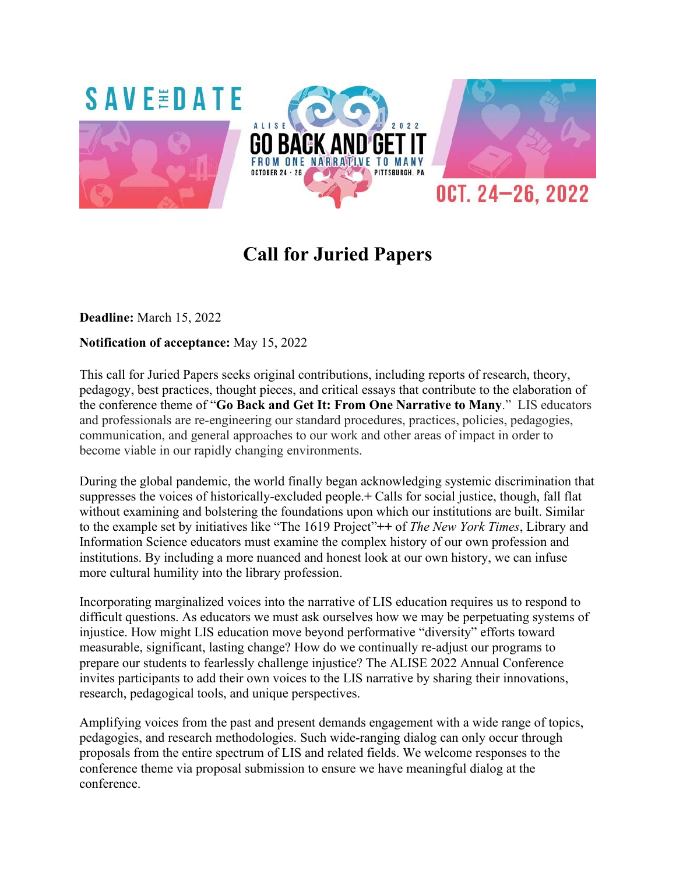

# **Call for Juried Papers**

**Deadline:** March 15, 2022

# **Notification of acceptance:** May 15, 2022

This call for Juried Papers seeks original contributions, including reports of research, theory, pedagogy, best practices, thought pieces, and critical essays that contribute to the elaboration of the conference theme of "**Go Back and Get It: From One Narrative to Many**." LIS educators and professionals are re-engineering our standard procedures, practices, policies, pedagogies, communication, and general approaches to our work and other areas of impact in order to become viable in our rapidly changing environments.

During the global pandemic, the world finally began acknowledging systemic discrimination that suppresses the voices of historically-excluded people.**+** Calls for social justice, though, fall flat without examining and bolstering the foundations upon which our institutions are built. Similar to the example set by initiatives like "The 1619 Project"**++** of *The New York Times*, Library and Information Science educators must examine the complex history of our own profession and institutions. By including a more nuanced and honest look at our own history, we can infuse more cultural humility into the library profession.

Incorporating marginalized voices into the narrative of LIS education requires us to respond to difficult questions. As educators we must ask ourselves how we may be perpetuating systems of injustice. How might LIS education move beyond performative "diversity" efforts toward measurable, significant, lasting change? How do we continually re-adjust our programs to prepare our students to fearlessly challenge injustice? The ALISE 2022 Annual Conference invites participants to add their own voices to the LIS narrative by sharing their innovations, research, pedagogical tools, and unique perspectives.

Amplifying voices from the past and present demands engagement with a wide range of topics, pedagogies, and research methodologies. Such wide-ranging dialog can only occur through proposals from the entire spectrum of LIS and related fields. We welcome responses to the conference theme via proposal submission to ensure we have meaningful dialog at the conference.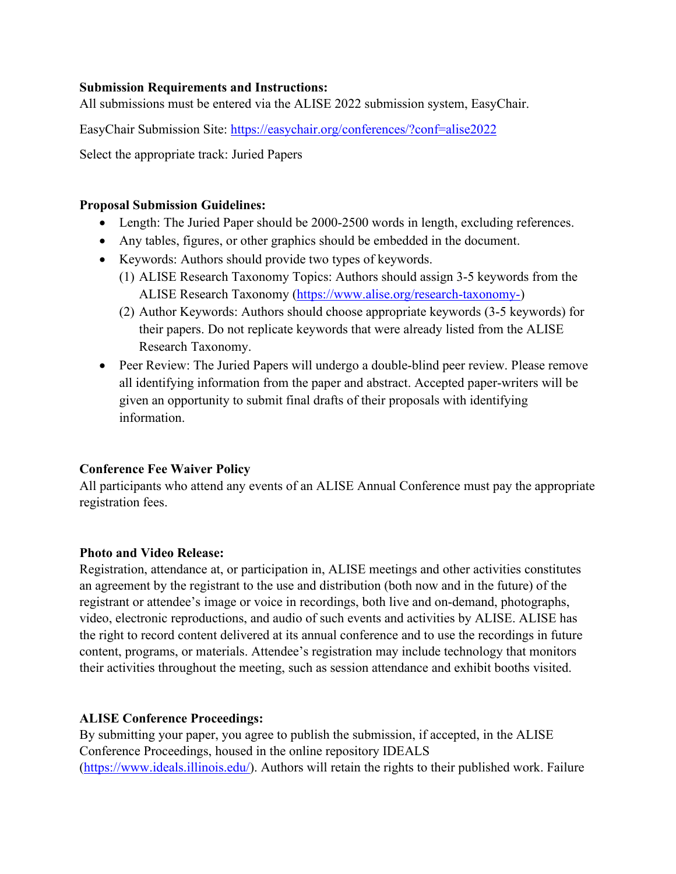### **Submission Requirements and Instructions:**

All submissions must be entered via the ALISE 2022 submission system, EasyChair.

EasyChair Submission Site:<https://easychair.org/conferences/?conf=alise2022>

Select the appropriate track: Juried Papers

### **Proposal Submission Guidelines:**

- Length: The Juried Paper should be 2000-2500 words in length, excluding references.
- Any tables, figures, or other graphics should be embedded in the document.
- Keywords: Authors should provide two types of keywords.
	- (1) ALISE Research Taxonomy Topics: Authors should assign 3-5 keywords from the ALISE Research Taxonomy [\(https://www.alise.org/research-taxonomy-\)](https://www.alise.org/research-taxonomy-)
	- (2) Author Keywords: Authors should choose appropriate keywords (3-5 keywords) for their papers. Do not replicate keywords that were already listed from the ALISE Research Taxonomy.
- Peer Review: The Juried Papers will undergo a double-blind peer review. Please remove all identifying information from the paper and abstract. Accepted paper-writers will be given an opportunity to submit final drafts of their proposals with identifying information.

# **Conference Fee Waiver Policy**

All participants who attend any events of an ALISE Annual Conference must pay the appropriate registration fees.

# **Photo and Video Release:**

Registration, attendance at, or participation in, ALISE meetings and other activities constitutes an agreement by the registrant to the use and distribution (both now and in the future) of the registrant or attendee's image or voice in recordings, both live and on-demand, photographs, video, electronic reproductions, and audio of such events and activities by ALISE. ALISE has the right to record content delivered at its annual conference and to use the recordings in future content, programs, or materials. Attendee's registration may include technology that monitors their activities throughout the meeting, such as session attendance and exhibit booths visited.

# **ALISE Conference Proceedings:**

By submitting your paper, you agree to publish the submission, if accepted, in the ALISE Conference Proceedings, housed in the online repository IDEALS [\(https://www.ideals.illinois.edu/\)](https://www.ideals.illinois.edu/). Authors will retain the rights to their published work. Failure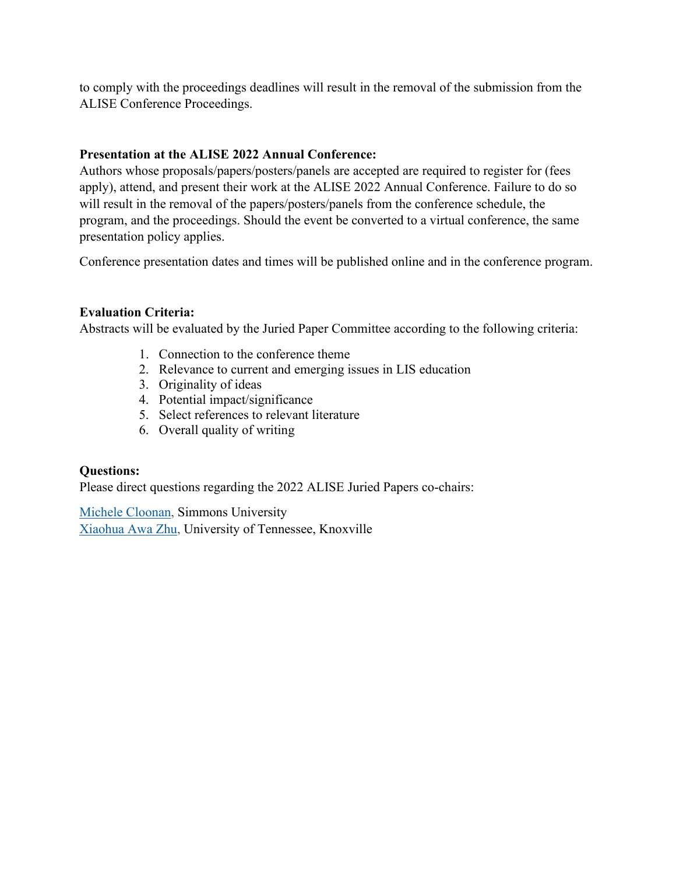to comply with the proceedings deadlines will result in the removal of the submission from the ALISE Conference Proceedings.

# **Presentation at the ALISE 2022 Annual Conference:**

Authors whose proposals/papers/posters/panels are accepted are required to register for (fees apply), attend, and present their work at the ALISE 2022 Annual Conference. Failure to do so will result in the removal of the papers/posters/panels from the conference schedule, the program, and the proceedings. Should the event be converted to a virtual conference, the same presentation policy applies.

Conference presentation dates and times will be published online and in the conference program.

# **Evaluation Criteria:**

Abstracts will be evaluated by the Juried Paper Committee according to the following criteria:

- 1. Connection to the conference theme
- 2. Relevance to current and emerging issues in LIS education
- 3. Originality of ideas
- 4. Potential impact/significance
- 5. Select references to relevant literature
- 6. Overall quality of writing

# **Questions:**

Please direct questions regarding the 2022 ALISE Juried Papers co-chairs:

Michele [Cloonan,](mailto:michele.cloonan@simmons.edu) Simmons University [Xiaohua](mailto:xzhu12@utk.edu) Awa Zhu, University of Tennessee, Knoxville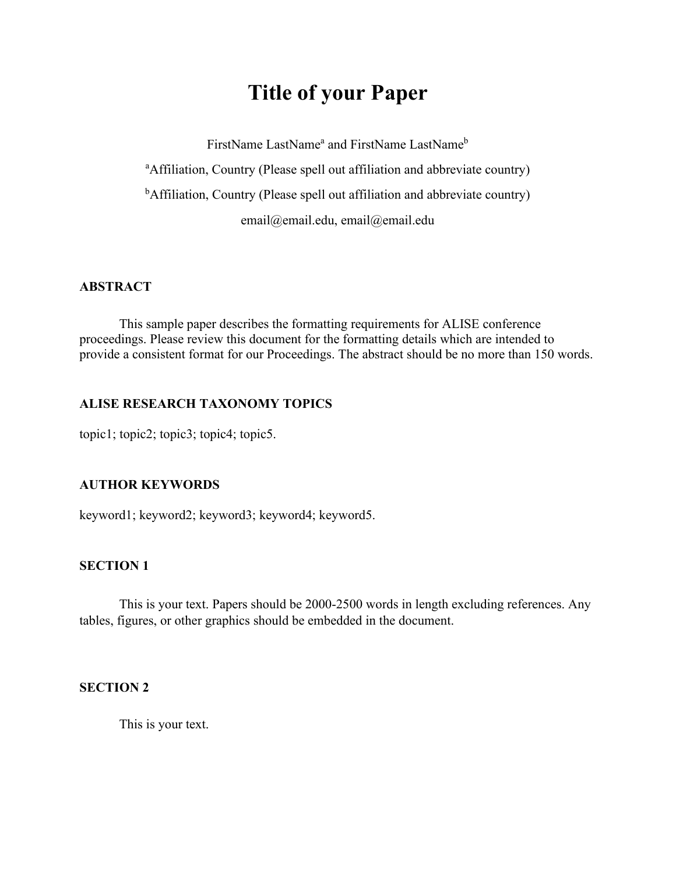# **Title of your Paper**

FirstName LastName<sup>a</sup> and FirstName LastName<sup>b</sup> <sup>a</sup>Affiliation, Country (Please spell out affiliation and abbreviate country) <sup>b</sup>Affiliation, Country (Please spell out affiliation and abbreviate country) email@email.edu, email@email.edu

### **ABSTRACT**

This sample paper describes the formatting requirements for ALISE conference proceedings. Please review this document for the formatting details which are intended to provide a consistent format for our Proceedings. The abstract should be no more than 150 words.

### **ALISE RESEARCH TAXONOMY TOPICS**

topic1; topic2; topic3; topic4; topic5.

#### **AUTHOR KEYWORDS**

keyword1; keyword2; keyword3; keyword4; keyword5.

### **SECTION 1**

This is your text. Papers should be 2000-2500 words in length excluding references. Any tables, figures, or other graphics should be embedded in the document.

#### **SECTION 2**

This is your text.